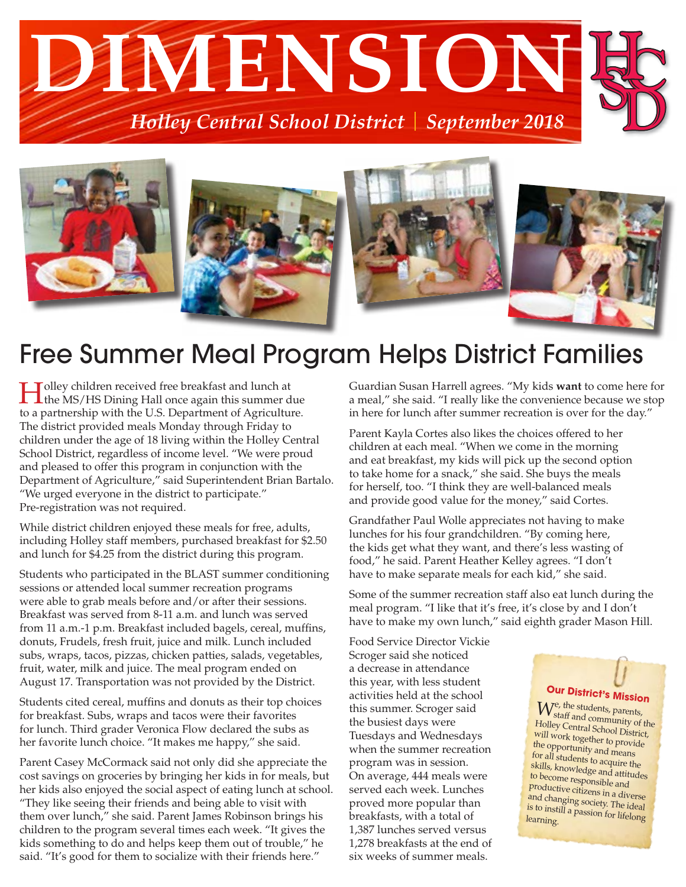



### Free Summer Meal Program Helps District Families

Holley children received free breakfast and lunch at the MS/HS Dining Hall once again this summer due to a partnership with the U.S. Department of Agriculture. The district provided meals Monday through Friday to children under the age of 18 living within the Holley Central School District, regardless of income level. "We were proud and pleased to offer this program in conjunction with the Department of Agriculture," said Superintendent Brian Bartalo. "We urged everyone in the district to participate." Pre-registration was not required.

While district children enjoyed these meals for free, adults, including Holley staff members, purchased breakfast for \$2.50 and lunch for \$4.25 from the district during this program.

Students who participated in the BLAST summer conditioning sessions or attended local summer recreation programs were able to grab meals before and/or after their sessions. Breakfast was served from 8-11 a.m. and lunch was served from 11 a.m.-1 p.m. Breakfast included bagels, cereal, muffins, donuts, Frudels, fresh fruit, juice and milk. Lunch included subs, wraps, tacos, pizzas, chicken patties, salads, vegetables, fruit, water, milk and juice. The meal program ended on August 17. Transportation was not provided by the District.

Students cited cereal, muffins and donuts as their top choices for breakfast. Subs, wraps and tacos were their favorites for lunch. Third grader Veronica Flow declared the subs as her favorite lunch choice. "It makes me happy," she said.

Parent Casey McCormack said not only did she appreciate the cost savings on groceries by bringing her kids in for meals, but her kids also enjoyed the social aspect of eating lunch at school. "They like seeing their friends and being able to visit with them over lunch," she said. Parent James Robinson brings his children to the program several times each week. "It gives the kids something to do and helps keep them out of trouble," he said. "It's good for them to socialize with their friends here."

Guardian Susan Harrell agrees. "My kids **want** to come here for a meal," she said. "I really like the convenience because we stop in here for lunch after summer recreation is over for the day."

Parent Kayla Cortes also likes the choices offered to her children at each meal. "When we come in the morning and eat breakfast, my kids will pick up the second option to take home for a snack," she said. She buys the meals for herself, too. "I think they are well-balanced meals and provide good value for the money," said Cortes.

Grandfather Paul Wolle appreciates not having to make lunches for his four grandchildren. "By coming here, the kids get what they want, and there's less wasting of food," he said. Parent Heather Kelley agrees. "I don't have to make separate meals for each kid," she said.

Some of the summer recreation staff also eat lunch during the meal program. "I like that it's free, it's close by and I don't have to make my own lunch," said eighth grader Mason Hill.

Food Service Director Vickie Scroger said she noticed a decrease in attendance this year, with less student activities held at the school this summer. Scroger said the busiest days were Tuesdays and Wednesdays when the summer recreation program was in session. On average, 444 meals were served each week. Lunches proved more popular than breakfasts, with a total of 1,387 lunches served versus 1,278 breakfasts at the end of six weeks of summer meals.

#### **Our District's Mission**

 $W_{\text{staff}, \text{and}}^{\text{e, the students, parents}}$ staff and community of the Holley Central School District, will work together to provide the opportunity and means for all students to acquire the skills, knowledge and attitudes to become responsible and productive citizens in a diverse and changing society. The ideal is to instill a passion for lifelong learning.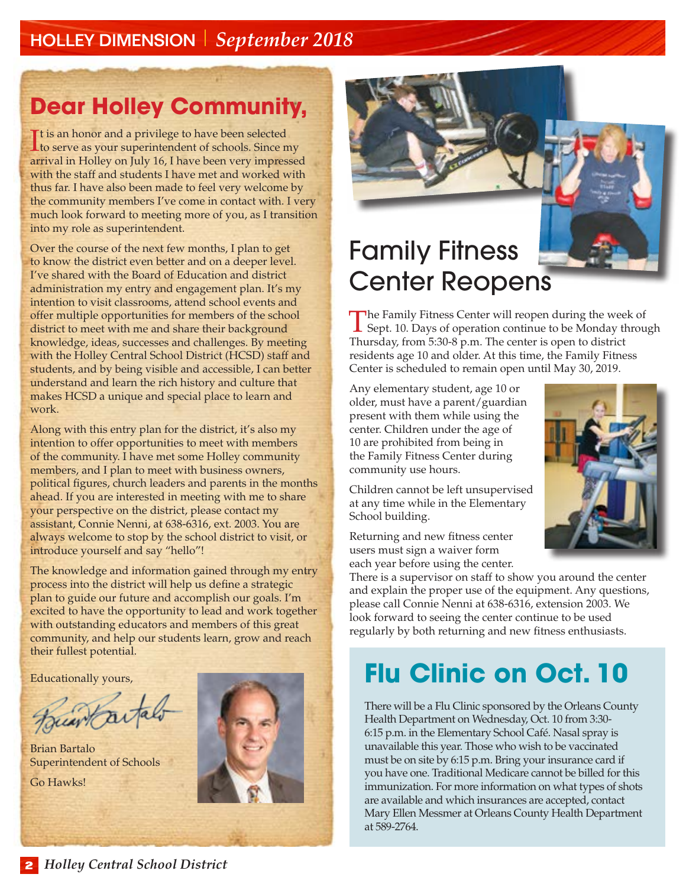#### HOLLEY DIMENSION *September 2018*

# **Dear Holley Community,**

It is an honor and a privilege to have been selected<br>to serve as your superintendent of schools. Since m to serve as your superintendent of schools. Since my arrival in Holley on July 16, I have been very impressed with the staff and students I have met and worked with thus far. I have also been made to feel very welcome by the community members I've come in contact with. I very much look forward to meeting more of you, as I transition into my role as superintendent.

Over the course of the next few months, I plan to get to know the district even better and on a deeper level. I've shared with the Board of Education and district administration my entry and engagement plan. It's my intention to visit classrooms, attend school events and offer multiple opportunities for members of the school district to meet with me and share their background knowledge, ideas, successes and challenges. By meeting with the Holley Central School District (HCSD) staff and students, and by being visible and accessible, I can better understand and learn the rich history and culture that makes HCSD a unique and special place to learn and work.

Along with this entry plan for the district, it's also my intention to offer opportunities to meet with members of the community. I have met some Holley community members, and I plan to meet with business owners, political figures, church leaders and parents in the months ahead. If you are interested in meeting with me to share your perspective on the district, please contact my assistant, Connie Nenni, at 638-6316, ext. 2003. You are always welcome to stop by the school district to visit, or introduce yourself and say "hello"!

The knowledge and information gained through my entry process into the district will help us define a strategic plan to guide our future and accomplish our goals. I'm excited to have the opportunity to lead and work together with outstanding educators and members of this great community, and help our students learn, grow and reach their fullest potential.

Educationally yours,

Juan ta

Brian Bartalo Superintendent of Schools

Go Hawks!



### Family Fitness Center Reopens

The Family Fitness Center will reopen during the week of  $\perp$  Sept. 10. Days of operation continue to be Monday through Thursday, from 5:30-8 p.m. The center is open to district residents age 10 and older. At this time, the Family Fitness Center is scheduled to remain open until May 30, 2019.

Any elementary student, age 10 or older, must have a parent/guardian present with them while using the center. Children under the age of 10 are prohibited from being in the Family Fitness Center during community use hours.

Children cannot be left unsupervised at any time while in the Elementary School building.

Returning and new fitness center users must sign a waiver form each year before using the center.

There is a supervisor on staff to show you around the center and explain the proper use of the equipment. Any questions, please call Connie Nenni at 638-6316, extension 2003. We look forward to seeing the center continue to be used regularly by both returning and new fitness enthusiasts.

### **Flu Clinic on Oct. 10**

There will be a Flu Clinic sponsored by the Orleans County Health Department on Wednesday, Oct. 10 from 3:30- 6:15 p.m. in the Elementary School Café. Nasal spray is unavailable this year. Those who wish to be vaccinated must be on site by 6:15 p.m. Bring your insurance card if you have one. Traditional Medicare cannot be billed for this immunization. For more information on what types of shots are available and which insurances are accepted, contact Mary Ellen Messmer at Orleans County Health Department at 589-2764.

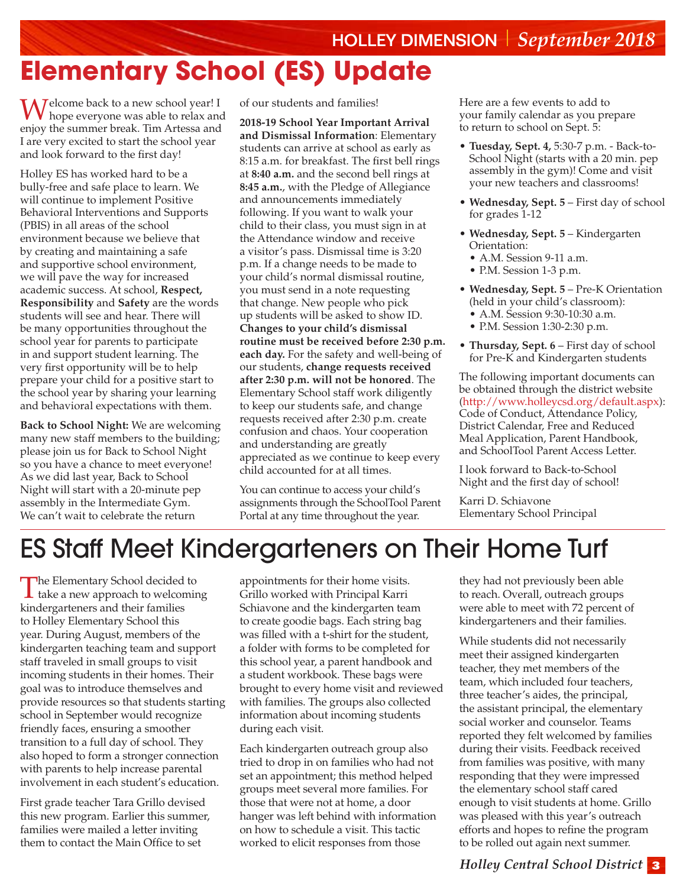### HOLLEY DIMENSION *September 2018* **Elementary School (ES) Update**

Welcome back to a new school year! I hope everyone was able to relax and enjoy the summer break. Tim Artessa and I are very excited to start the school year and look forward to the first day!

Holley ES has worked hard to be a bully-free and safe place to learn. We will continue to implement Positive Behavioral Interventions and Supports (PBIS) in all areas of the school environment because we believe that by creating and maintaining a safe and supportive school environment, we will pave the way for increased academic success. At school, **Respect, Responsibility** and **Safety** are the words students will see and hear. There will be many opportunities throughout the school year for parents to participate in and support student learning. The very first opportunity will be to help prepare your child for a positive start to the school year by sharing your learning and behavioral expectations with them.

**Back to School Night:** We are welcoming many new staff members to the building; please join us for Back to School Night so you have a chance to meet everyone! As we did last year, Back to School Night will start with a 20-minute pep assembly in the Intermediate Gym. We can't wait to celebrate the return

of our students and families!

**2018-19 School Year Important Arrival and Dismissal Information**: Elementary students can arrive at school as early as 8:15 a.m. for breakfast. The first bell rings at **8:40 a.m.** and the second bell rings at **8:45 a.m.**, with the Pledge of Allegiance and announcements immediately following. If you want to walk your child to their class, you must sign in at the Attendance window and receive a visitor's pass. Dismissal time is 3:20 p.m. If a change needs to be made to your child's normal dismissal routine, you must send in a note requesting that change. New people who pick up students will be asked to show ID. **Changes to your child's dismissal routine must be received before 2:30 p.m. each day.** For the safety and well-being of our students, **change requests received after 2:30 p.m. will not be honored**. The Elementary School staff work diligently to keep our students safe, and change requests received after 2:30 p.m. create confusion and chaos. Your cooperation and understanding are greatly appreciated as we continue to keep every child accounted for at all times.

You can continue to access your child's assignments through the SchoolTool Parent Portal at any time throughout the year.

Here are a few events to add to your family calendar as you prepare to return to school on Sept. 5:

- **Tuesday, Sept. 4,** 5:30-7 p.m. Back-to-School Night (starts with a 20 min. pep assembly in the gym)! Come and visit your new teachers and classrooms!
- **Wednesday, Sept. 5** First day of school for grades 1-12
- **Wednesday, Sept. 5** Kindergarten Orientation:
	- A.M. Session 9-11 a.m.
	- P.M. Session 1-3 p.m.
- **Wednesday, Sept. 5** Pre-K Orientation (held in your child's classroom): • A.M. Session 9:30-10:30 a.m.
	- P.M. Session 1:30-2:30 p.m.
- **Thursday, Sept. 6** First day of school for Pre-K and Kindergarten students

The following important documents can be obtained through the district website [\(http://www.holleycsd.org/default.aspx](http://www.holleycsd.org/default.aspx)): Code of Conduct, Attendance Policy, District Calendar, Free and Reduced Meal Application, Parent Handbook, and SchoolTool Parent Access Letter.

I look forward to Back-to-School Night and the first day of school!

Karri D. Schiavone Elementary School Principal

### ES Staff Meet Kindergarteners on Their Home Turf

The Elementary School decided to<br>take a new approach to welcoming kindergarteners and their families to Holley Elementary School this year. During August, members of the kindergarten teaching team and support staff traveled in small groups to visit incoming students in their homes. Their goal was to introduce themselves and provide resources so that students starting school in September would recognize friendly faces, ensuring a smoother transition to a full day of school. They also hoped to form a stronger connection with parents to help increase parental involvement in each student's education.

First grade teacher Tara Grillo devised this new program. Earlier this summer, families were mailed a letter inviting them to contact the Main Office to set

appointments for their home visits. Grillo worked with Principal Karri Schiavone and the kindergarten team to create goodie bags. Each string bag was filled with a t-shirt for the student, a folder with forms to be completed for this school year, a parent handbook and a student workbook. These bags were brought to every home visit and reviewed with families. The groups also collected information about incoming students during each visit.

Each kindergarten outreach group also tried to drop in on families who had not set an appointment; this method helped groups meet several more families. For those that were not at home, a door hanger was left behind with information on how to schedule a visit. This tactic worked to elicit responses from those

they had not previously been able to reach. Overall, outreach groups were able to meet with 72 percent of kindergarteners and their families.

While students did not necessarily meet their assigned kindergarten teacher, they met members of the team, which included four teachers, three teacher's aides, the principal, the assistant principal, the elementary social worker and counselor. Teams reported they felt welcomed by families during their visits. Feedback received from families was positive, with many responding that they were impressed the elementary school staff cared enough to visit students at home. Grillo was pleased with this year's outreach efforts and hopes to refine the program to be rolled out again next summer.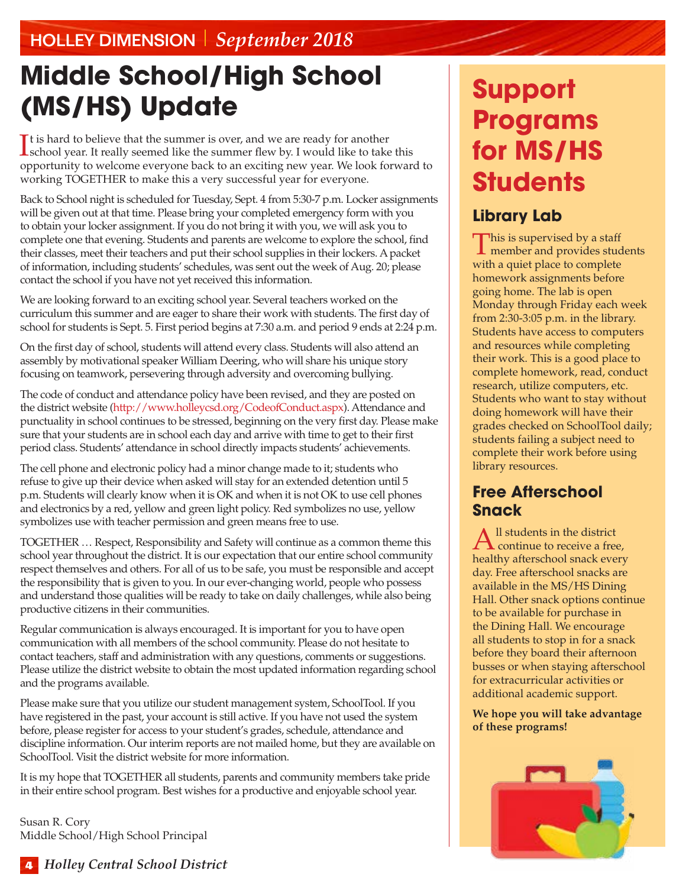# **Middle School/High School (MS/HS) Update**

It is hard to believe that the summer is over, and we are ready for another school year. It really seemed like the summer flew by. I would like to take this  $\mathbf{T}$ t is hard to believe that the summer is over, and we are ready for another opportunity to welcome everyone back to an exciting new year. We look forward to working TOGETHER to make this a very successful year for everyone.

Back to School night is scheduled for Tuesday, Sept. 4 from 5:30-7 p.m. Locker assignments will be given out at that time. Please bring your completed emergency form with you to obtain your locker assignment. If you do not bring it with you, we will ask you to complete one that evening. Students and parents are welcome to explore the school, find their classes, meet their teachers and put their school supplies in their lockers. A packet of information, including students' schedules, was sent out the week of Aug. 20; please contact the school if you have not yet received this information.

We are looking forward to an exciting school year. Several teachers worked on the curriculum this summer and are eager to share their work with students. The first day of school for students is Sept. 5. First period begins at 7:30 a.m. and period 9 ends at 2:24 p.m.

On the first day of school, students will attend every class. Students will also attend an assembly by motivational speaker William Deering, who will share his unique story focusing on teamwork, persevering through adversity and overcoming bullying.

The code of conduct and attendance policy have been revised, and they are posted on the district website (http://www.holleycsd.org/CodeofConduct.aspx). Attendance and punctuality in school continues to be stressed, beginning on the very first day. Please make sure that your students are in school each day and arrive with time to get to their first period class. Students' attendance in school directly impacts students' achievements.

The cell phone and electronic policy had a minor change made to it; students who refuse to give up their device when asked will stay for an extended detention until 5 p.m. Students will clearly know when it is OK and when it is not OK to use cell phones and electronics by a red, yellow and green light policy. Red symbolizes no use, yellow symbolizes use with teacher permission and green means free to use.

TOGETHER … Respect, Responsibility and Safety will continue as a common theme this school year throughout the district. It is our expectation that our entire school community respect themselves and others. For all of us to be safe, you must be responsible and accept the responsibility that is given to you. In our ever-changing world, people who possess and understand those qualities will be ready to take on daily challenges, while also being productive citizens in their communities.

Regular communication is always encouraged. It is important for you to have open communication with all members of the school community. Please do not hesitate to contact teachers, staff and administration with any questions, comments or suggestions. Please utilize the district website to obtain the most updated information regarding school and the programs available.

Please make sure that you utilize our student management system, SchoolTool. If you have registered in the past, your account is still active. If you have not used the system before, please register for access to your student's grades, schedule, attendance and discipline information. Our interim reports are not mailed home, but they are available on SchoolTool. Visit the district website for more information.

It is my hope that TOGETHER all students, parents and community members take pride in their entire school program. Best wishes for a productive and enjoyable school year.

Susan R. Cory Middle School/High School Principal

# **Support Programs for MS/HS Students**

#### **Library Lab**

This is supervised by a staff member and provides students with a quiet place to complete homework assignments before going home. The lab is open Monday through Friday each week from 2:30-3:05 p.m. in the library. Students have access to computers and resources while completing their work. This is a good place to complete homework, read, conduct research, utilize computers, etc. Students who want to stay without doing homework will have their grades checked on SchoolTool daily; students failing a subject need to complete their work before using library resources.

#### **Free Afterschool Snack**

 $A<sup>ll</sup>$  students in the district continue to receive a free, healthy afterschool snack every day. Free afterschool snacks are available in the MS/HS Dining Hall. Other snack options continue to be available for purchase in the Dining Hall. We encourage all students to stop in for a snack before they board their afternoon busses or when staying afterschool for extracurricular activities or additional academic support.

**We hope you will take advantage of these programs!**

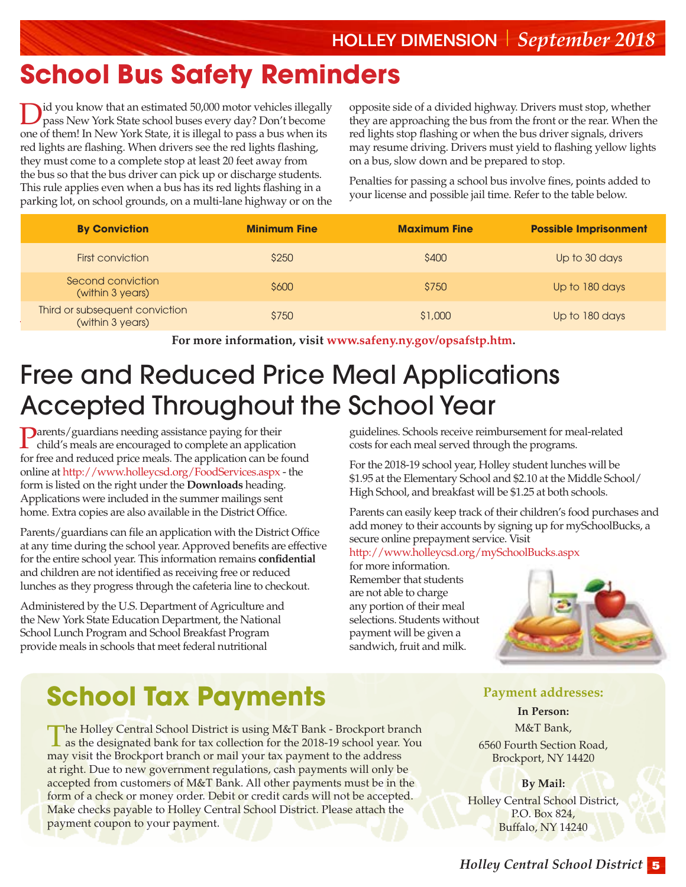### **School Bus Safety Reminders**

Did you know that an estimated 50,000 motor vehicles illegally pass New York State school buses every day? Don't become one of them! In New York State, it is illegal to pass a bus when its red lights are flashing. When drivers see the red lights flashing, they must come to a complete stop at least 20 feet away from the bus so that the bus driver can pick up or discharge students. This rule applies even when a bus has its red lights flashing in a parking lot, on school grounds, on a multi-lane highway or on the

opposite side of a divided highway. Drivers must stop, whether they are approaching the bus from the front or the rear. When the red lights stop flashing or when the bus driver signals, drivers may resume driving. Drivers must yield to flashing yellow lights on a bus, slow down and be prepared to stop.

Penalties for passing a school bus involve fines, points added to your license and possible jail time. Refer to the table below.

| <b>By Conviction</b>                               | <b>Minimum Fine</b> | <b>Maximum Fine</b> | <b>Possible Imprisonment</b> |
|----------------------------------------------------|---------------------|---------------------|------------------------------|
| First conviction                                   | \$250               | \$400               | Up to 30 days                |
| Second conviction<br>(within 3 years)              | \$600               | \$750               | Up to 180 days               |
| Third or subsequent conviction<br>(within 3 years) | \$750               | \$1,000             | Up to 180 days               |

**For more information, visit [www.safeny.ny.gov/opsafstp.htm.](http://www.safeny.ny.gov/opsafstp.htm)**

# Free and Reduced Price Meal Applications Accepted Throughout the School Year

Parents/guardians needing assistance paying for their child's meals are encouraged to complete an application for free and reduced price meals. The application can be found online at<http://www.holleycsd.org/FoodServices.aspx> - the form is listed on the right under the **Downloads** heading. Applications were included in the summer mailings sent home. Extra copies are also available in the District Office.

Parents/guardians can file an application with the District Office at any time during the school year. Approved benefits are effective for the entire school year. This information remains **confidential** and children are not identified as receiving free or reduced lunches as they progress through the cafeteria line to checkout.

Administered by the U.S. Department of Agriculture and the New York State Education Department, the National School Lunch Program and School Breakfast Program provide meals in schools that meet federal nutritional

guidelines. Schools receive reimbursement for meal-related costs for each meal served through the programs.

For the 2018-19 school year, Holley student lunches will be \$1.95 at the Elementary School and \$2.10 at the Middle School/ High School, and breakfast will be \$1.25 at both schools.

Parents can easily keep track of their children's food purchases and add money to their accounts by signing up for mySchoolBucks, a secure online prepayment service. Visit

#### <http://www.holleycsd.org/mySchoolBucks.aspx>

for more information. Remember that students are not able to charge

any portion of their meal selections. Students without payment will be given a sandwich, fruit and milk.

### **School Tax Payments**

The Holley Central School District is using M&T Bank - Brockport branch as the designated bank for tax collection for the 2018-19 school year. You may visit the Brockport branch or mail your tax payment to the address at right. Due to new government regulations, cash payments will only be accepted from customers of M&T Bank. All other payments must be in the form of a check or money order. Debit or credit cards will not be accepted. Make checks payable to Holley Central School District. Please attach the payment coupon to your payment.

#### **Payment addresses:**

**In Person:**  M&T Bank, [6560 Fourth Section Road,](http://www.bing.com/maps/default.aspx?cp=43.19838~-77.94548&where1=M%26T%20Bank&ss=ypid.YN662x11490254&FORM=SNAPST)  [Brockport, NY 14420](http://www.bing.com/maps/default.aspx?cp=43.19838~-77.94548&where1=M%26T%20Bank&ss=ypid.YN662x11490254&FORM=SNAPST)

**By Mail:**  Holley Central School District, P.O. Box 824, Buffalo, NY 14240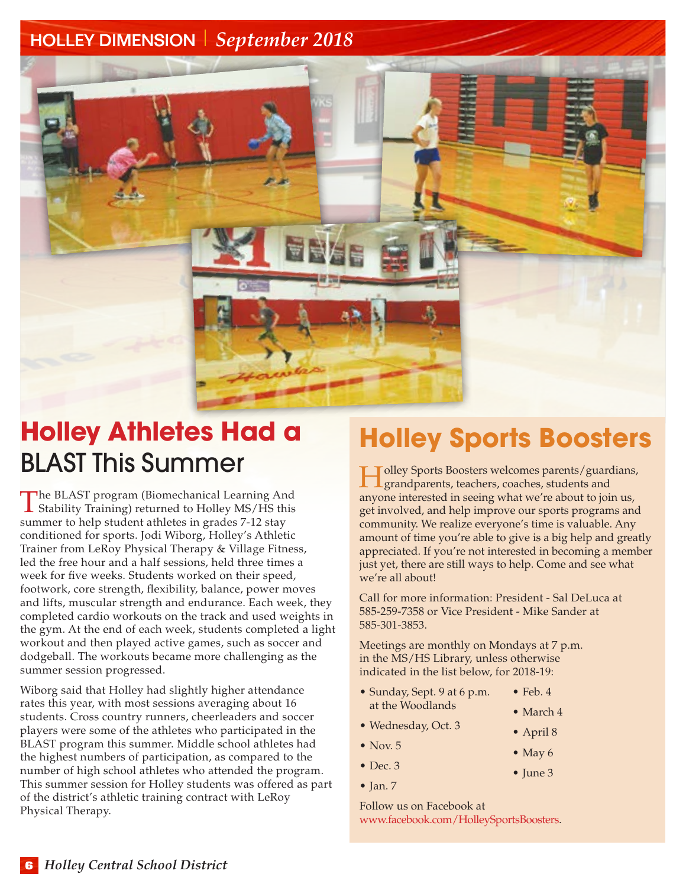

### **Holley Athletes Had a** BLAST This Summer

The BLAST program (Biomechanical Learning And **L** Stability Training) returned to Holley MS/HS this summer to help student athletes in grades 7-12 stay conditioned for sports. Jodi Wiborg, Holley's Athletic Trainer from LeRoy Physical Therapy & Village Fitness, led the free hour and a half sessions, held three times a week for five weeks. Students worked on their speed, footwork, core strength, flexibility, balance, power moves and lifts, muscular strength and endurance. Each week, they completed cardio workouts on the track and used weights in the gym. At the end of each week, students completed a light workout and then played active games, such as soccer and dodgeball. The workouts became more challenging as the summer session progressed.

Wiborg said that Holley had slightly higher attendance rates this year, with most sessions averaging about 16 students. Cross country runners, cheerleaders and soccer players were some of the athletes who participated in the BLAST program this summer. Middle school athletes had the highest numbers of participation, as compared to the number of high school athletes who attended the program. This summer session for Holley students was offered as part of the district's athletic training contract with LeRoy Physical Therapy.

### **Holley Sports Boosters**

Tolley Sports Boosters welcomes parents/guardians, grandparents, teachers, coaches, students and anyone interested in seeing what we're about to join us, get involved, and help improve our sports programs and community. We realize everyone's time is valuable. Any amount of time you're able to give is a big help and greatly appreciated. If you're not interested in becoming a member just yet, there are still ways to help. Come and see what we're all about!

Call for more information: President - Sal DeLuca at 585-259-7358 or Vice President - Mike Sander at 585-301-3853.

Meetings are monthly on Mondays at 7 p.m. in the MS/HS Library, unless otherwise indicated in the list below, for 2018-19:

- Sunday, Sept. 9 at 6 p.m. at the Woodlands • March 4
	- $\bullet$  Feb. 4

• April 8

• June 3

- Wednesday, Oct. 3
- $\bullet$  Nov. 5
- May 6
- Dec. 3
- $\bullet$  Jan. 7

Follow us on Facebook at www.facebook.com/HolleySportsBoosters.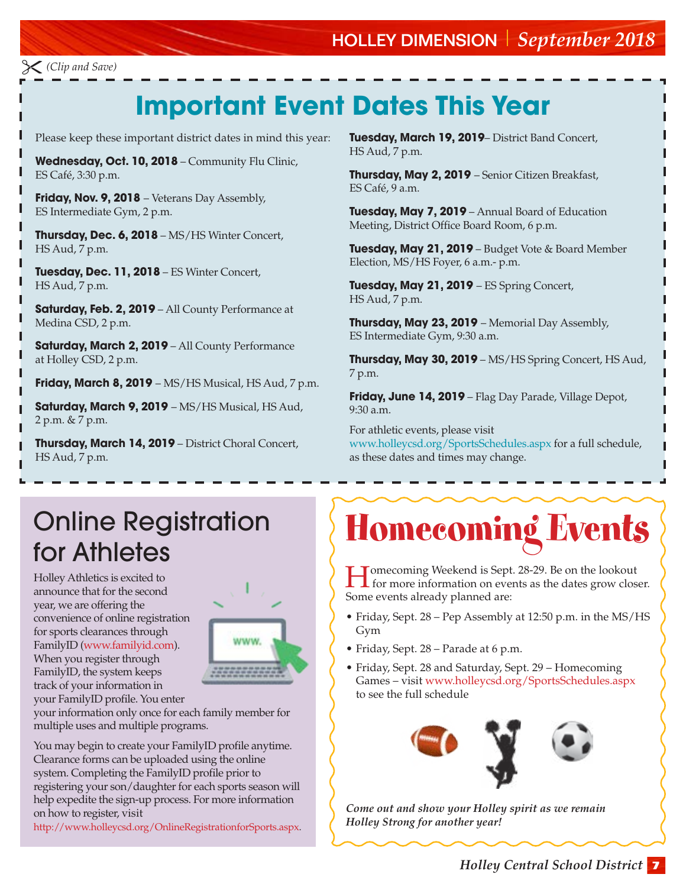#### HOLLEY DIMENSION *September 2018*

*(Clip and Save)*

### **Important Event Dates This Year**

Please keep these important district dates in mind this year:

**Wednesday, Oct. 10, 2018** – Community Flu Clinic, ES Café, 3:30 p.m.

**Friday, Nov. 9, 2018** – Veterans Day Assembly, ES Intermediate Gym, 2 p.m.

**Thursday, Dec. 6, 2018** – MS/HS Winter Concert, HS Aud, 7 p.m.

**Tuesday, Dec. 11, 2018** – ES Winter Concert, HS Aud, 7 p.m.

**Saturday, Feb. 2, 2019** – All County Performance at Medina CSD, 2 p.m.

**Saturday, March 2, 2019** – All County Performance at Holley CSD, 2 p.m.

**Friday, March 8, 2019** – MS/HS Musical, HS Aud, 7 p.m.

**Saturday, March 9, 2019** – MS/HS Musical, HS Aud, 2 p.m. & 7 p.m.

**Thursday, March 14, 2019** – District Choral Concert, HS Aud, 7 p.m.

**Tuesday, March 19, 2019**– District Band Concert, HS Aud, 7 p.m.

**Thursday, May 2, 2019** – Senior Citizen Breakfast, ES Café, 9 a.m.

**Tuesday, May 7, 2019** – Annual Board of Education Meeting, District Office Board Room, 6 p.m.

**Tuesday, May 21, 2019** – Budget Vote & Board Member Election, MS/HS Foyer, 6 a.m.- p.m.

**Tuesday, May 21, 2019** – ES Spring Concert, HS Aud, 7 p.m.

**Thursday, May 23, 2019** – Memorial Day Assembly, ES Intermediate Gym, 9:30 a.m.

**Thursday, May 30, 2019** – MS/HS Spring Concert, HS Aud, 7 p.m.

**Friday, June 14, 2019** – Flag Day Parade, Village Depot, 9:30 a.m.

For athletic events, please visit www.holleycsd.org/SportsSchedules.aspx for a full schedule, as these dates and times may change.

### Online Registration for Athletes

Holley Athletics is excited to announce that for the second year, we are offering the convenience of online registration for sports clearances through FamilyID (www.familyid.com). When you register through FamilyID, the system keeps track of your information in

your FamilyID profile. You enter



your information only once for each family member for multiple uses and multiple programs.

You may begin to create your FamilyID profile anytime. Clearance forms can be uploaded using the online system. Completing the FamilyID profile prior to registering your son/daughter for each sports season will help expedite the sign-up process. For more information on how to register, visit

http://www.holleycsd.org/OnlineRegistrationforSports.aspx.

# Homecoming Events

Homecoming Weekend is Sept. 28-29. Be on the lookout for more information on events as the dates grow closer. Some events already planned are:

- Friday, Sept. 28 Pep Assembly at 12:50 p.m. in the MS/HS Gym
- Friday, Sept. 28 Parade at 6 p.m.
- Friday, Sept. 28 and Saturday, Sept. 29 Homecoming Games – visit www.holleycsd.org/SportsSchedules.aspx to see the full schedule



*Come out and show your Holley spirit as we remain Holley Strong for another year!*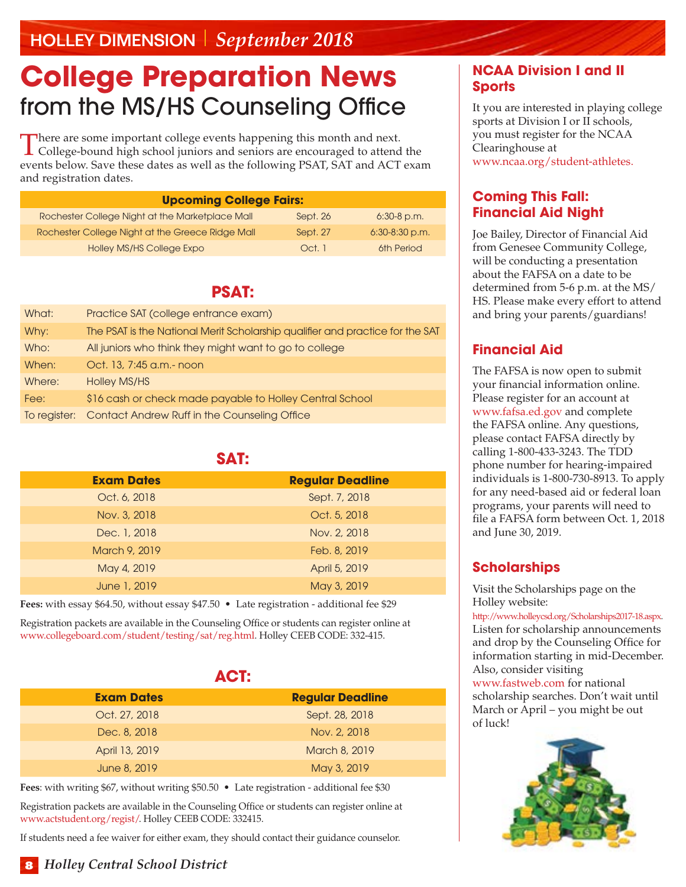### **College Preparation News** from the MS/HS Counseling Office

There are some important college events happening this month and next. **L** College-bound high school juniors and seniors are encouraged to attend the events below. Save these dates as well as the following PSAT, SAT and ACT exam and registration dates.

| <b>Upcoming College Fairs:</b>                   |          |                  |
|--------------------------------------------------|----------|------------------|
| Rochester College Night at the Marketplace Mall  | Sept. 26 | $6:30-8$ p.m.    |
| Rochester College Night at the Greece Ridge Mall | Sept. 27 | $6:30-8:30$ p.m. |
| Holley MS/HS College Expo                        | Oct. 1   | 6th Period       |

#### **PSAT:**

| What:        | Practice SAT (college entrance exam)                                          |
|--------------|-------------------------------------------------------------------------------|
| Why:         | The PSAT is the National Merit Scholarship qualifier and practice for the SAT |
| Who:         | All juniors who think they might want to go to college                        |
| When:        | Oct. 13, 7:45 a.m.- noon                                                      |
| Where:       | Holley MS/HS                                                                  |
| Fee:         | \$16 cash or check made payable to Holley Central School                      |
| To register: | Contact Andrew Ruff in the Counseling Office                                  |

#### **SAT:**

| <b>Exam Dates</b> | <b>Regular Deadline</b> |
|-------------------|-------------------------|
| Oct. 6, 2018      | Sept. 7, 2018           |
| Nov. 3, 2018      | Oct. 5, 2018            |
| Dec. 1, 2018      | Nov. 2, 2018            |
| March 9, 2019     | Feb. 8, 2019            |
| May 4, 2019       | April 5, 2019           |
| June 1, 2019      | May 3, 2019             |

**Fees:** with essay \$64.50, without essay \$47.50 • Late registration - additional fee \$29

Registration packets are available in the Counseling Office or students can register online at www.collegeboard.com/student/testing/sat/reg.html. Holley CEEB CODE: 332-415.

| <b>ACT:</b>       |                         |  |  |  |
|-------------------|-------------------------|--|--|--|
| <b>Exam Dates</b> | <b>Regular Deadline</b> |  |  |  |
| Oct. 27, 2018     | Sept. 28, 2018          |  |  |  |
| Dec. 8, 2018      | Nov. 2, 2018            |  |  |  |
| April 13, 2019    | March 8, 2019           |  |  |  |
| June 8, 2019      | May 3, 2019             |  |  |  |

**Fees**: with writing \$67, without writing \$50.50 • Late registration - additional fee \$30

Registration packets are available in the Counseling Office or students can register online at www.actstudent.org/regist/. Holley CEEB CODE: 332415.

If students need a fee waiver for either exam, they should contact their guidance counselor.

#### **NCAA Division I and II Sports**

It you are interested in playing college sports at Division I or II schools, you must register for the NCAA Clearinghouse at www.ncaa.org/student-athletes.

#### **Coming This Fall: Financial Aid Night**

Joe Bailey, Director of Financial Aid from Genesee Community College, will be conducting a presentation about the FAFSA on a date to be determined from 5-6 p.m. at the MS/ HS. Please make every effort to attend and bring your parents/guardians!

#### **Financial Aid**

The FAFSA is now open to submit your financial information online. Please register for an account at www.fafsa.ed.gov and complete the FAFSA online. Any questions, please contact FAFSA directly by calling 1-800-433-3243. The TDD phone number for hearing-impaired individuals is 1-800-730-8913. To apply for any need-based aid or federal loan programs, your parents will need to file a FAFSA form between Oct. 1, 2018 and June 30, 2019.

#### **Scholarships**

Visit the Scholarships page on the Holley website:

http://www.holleycsd.org/Scholarships2017-18.aspx. Listen for scholarship announcements and drop by the Counseling Office for information starting in mid-December. Also, consider visiting

www.fastweb.com for national scholarship searches. Don't wait until March or April – you might be out of luck!

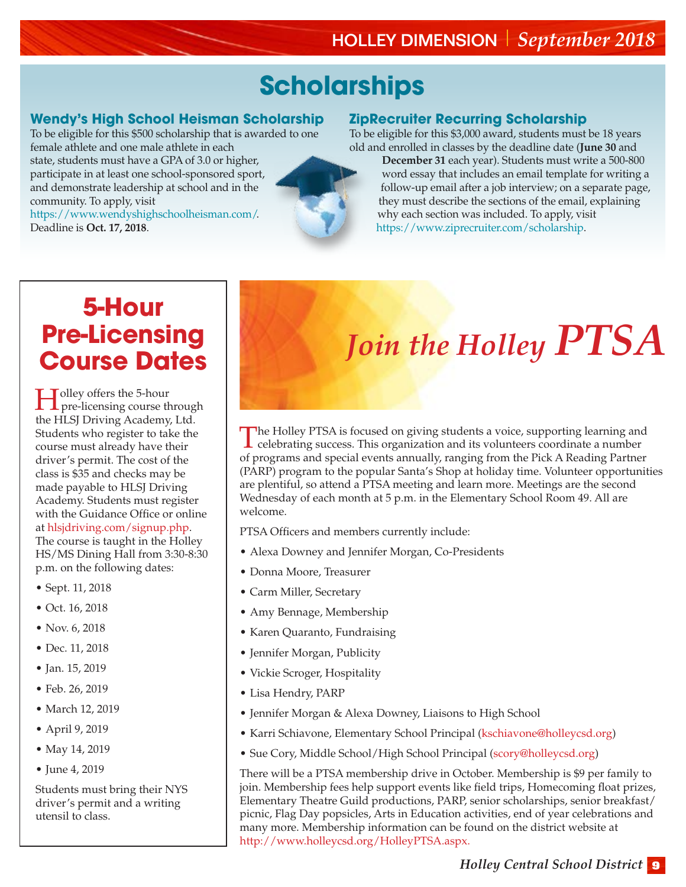# **Scholarships**

#### **Wendy's High School Heisman Scholarship**

To be eligible for this \$500 scholarship that is awarded to one female athlete and one male athlete in each

state, students must have a GPA of 3.0 or higher, participate in at least one school-sponsored sport, and demonstrate leadership at school and in the community. To apply, visit

https://www.wendyshighschoolheisman.com/. Deadline is **Oct. 17, 2018**.



#### **ZipRecruiter Recurring Scholarship**

To be eligible for this \$3,000 award, students must be 18 years old and enrolled in classes by the deadline date (**June 30** and

**December 31** each year). Students must write a 500-800 word essay that includes an email template for writing a follow-up email after a job interview; on a separate page, they must describe the sections of the email, explaining why each section was included. To apply, visit https://www.ziprecruiter.com/scholarship.

### **5-Hour Pre-Licensing Course Dates**

Holley offers the 5-hour pre-licensing course through the HLSJ Driving Academy, Ltd. Students who register to take the course must already have their driver's permit. The cost of the class is \$35 and checks may be made payable to HLSJ Driving Academy. Students must register with the Guidance Office or online at [hlsjdriving.com/signup.php.](http://hlsjdriving.com/signup.php)

The course is taught in the Holley HS/MS Dining Hall from 3:30-8:30 p.m. on the following dates:

- Sept. 11, 2018
- Oct. 16, 2018
- Nov. 6, 2018
- Dec. 11, 2018
- Jan. 15, 2019
- Feb. 26, 2019
- March 12, 2019
- April 9, 2019
- May 14, 2019
- June 4, 2019

Students must bring their NYS driver's permit and a writing utensil to class.

# *Join the Holley PTSA*

The Holley PTSA is focused on giving students a voice, supporting learning and celebrating success. This organization and its volunteers coordinate a number of programs and special events annually, ranging from the Pick A Reading Partner (PARP) program to the popular Santa's Shop at holiday time. Volunteer opportunities are plentiful, so attend a PTSA meeting and learn more. Meetings are the second Wednesday of each month at 5 p.m. in the Elementary School Room 49. All are welcome.

PTSA Officers and members currently include:

- Alexa Downey and Jennifer Morgan, Co-Presidents
- Donna Moore, Treasurer
- Carm Miller, Secretary
- Amy Bennage, Membership
- Karen Quaranto, Fundraising
- Jennifer Morgan, Publicity
- Vickie Scroger, Hospitality
- Lisa Hendry, PARP
- Jennifer Morgan & Alexa Downey, Liaisons to High School
- Karri Schiavone, Elementary School Principal (kschiavone@holleycsd.org)
- Sue Cory, Middle School/High School Principal (scory@holleycsd.org)

There will be a PTSA membership drive in October. Membership is \$9 per family to join. Membership fees help support events like field trips, Homecoming float prizes, Elementary Theatre Guild productions, PARP, senior scholarships, senior breakfast/ picnic, Flag Day popsicles, Arts in Education activities, end of year celebrations and many more. Membership information can be found on the district website at http://www.holleycsd.org/HolleyPTSA.aspx.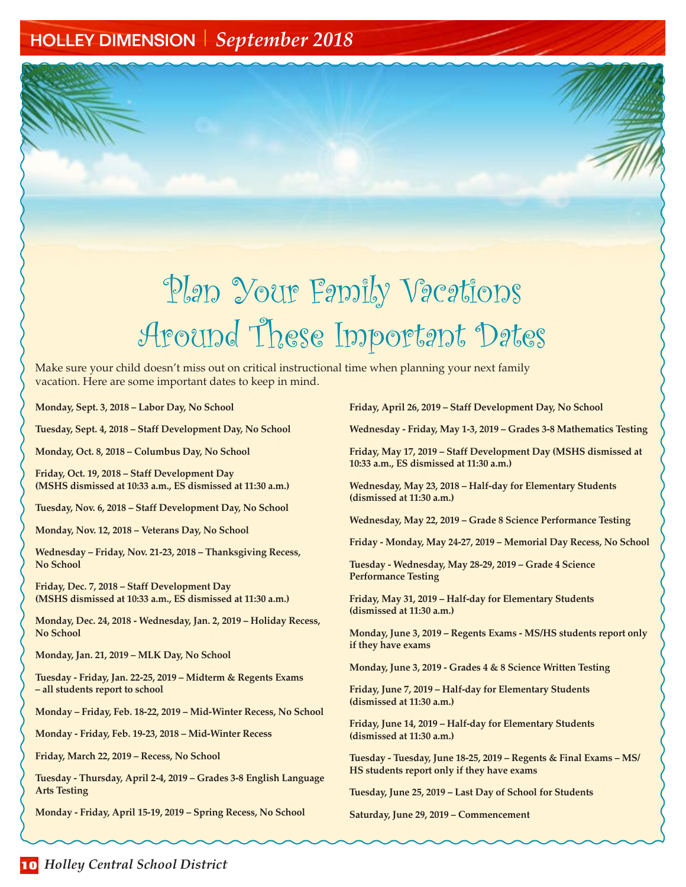# Plan Your Family Vacations Around These Important Dates

Make sure your child doesn't miss out on critical instructional time when planning your next family vacation. Here are some important dates to keep in mind.

**Monday, Sept. 3, 2018 – Labor Day, No School**

**Tuesday, Sept. 4, 2018 – Staff Development Day, No School**

**Monday, Oct. 8, 2018 – Columbus Day, No School**

**Friday, Oct. 19, 2018 – Staff Development Day (MSHS dismissed at 10:33 a.m., ES dismissed at 11:30 a.m.)**

**Tuesday, Nov. 6, 2018 – Staff Development Day, No School** 

**Monday, Nov. 12, 2018 – Veterans Day, No School**

**Wednesday – Friday, Nov. 21-23, 2018 – Thanksgiving Recess, No School**

**Friday, Dec. 7, 2018 – Staff Development Day (MSHS dismissed at 10:33 a.m., ES dismissed at 11:30 a.m.)**

**Monday, Dec. 24, 2018 - Wednesday, Jan. 2, 2019 – Holiday Recess, No School** 

**Monday, Jan. 21, 2019 – MLK Day, No School**

**Tuesday - Friday, Jan. 22-25, 2019 – Midterm & Regents Exams – all students report to school**

**Monday – Friday, Feb. 18-22, 2019 – Mid-Winter Recess, No School** 

**Monday - Friday, Feb. 19-23, 2018 – Mid-Winter Recess**

**Friday, March 22, 2019 – Recess, No School**

**Tuesday - Thursday, April 2-4, 2019 – Grades 3-8 English Language Arts Testing**

**Monday - Friday, April 15-19, 2019 – Spring Recess, No School**

**Friday, April 26, 2019 – Staff Development Day, No School**

**Wednesday - Friday, May 1-3, 2019 – Grades 3-8 Mathematics Testing**

**Friday, May 17, 2019 – Staff Development Day (MSHS dismissed at 10:33 a.m., ES dismissed at 11:30 a.m.)**

**Wednesday, May 23, 2018 – Half-day for Elementary Students (dismissed at 11:30 a.m.)**

**Wednesday, May 22, 2019 – Grade 8 Science Performance Testing**

**Friday - Monday, May 24-27, 2019 – Memorial Day Recess, No School**

**Tuesday - Wednesday, May 28-29, 2019 – Grade 4 Science Performance Testing**

**Friday, May 31, 2019 – Half-day for Elementary Students (dismissed at 11:30 a.m.)**

**Monday, June 3, 2019 – Regents Exams - MS/HS students report only if they have exams**

**Monday, June 3, 2019 - Grades 4 & 8 Science Written Testing**

**Friday, June 7, 2019 – Half-day for Elementary Students (dismissed at 11:30 a.m.)**

**Friday, June 14, 2019 – Half-day for Elementary Students (dismissed at 11:30 a.m.)**

**Tuesday - Tuesday, June 18-25, 2019 – Regents & Final Exams – MS/ HS students report only if they have exams**

**Tuesday, June 25, 2019 – Last Day of School for Students**

**Saturday, June 29, 2019 – Commencement**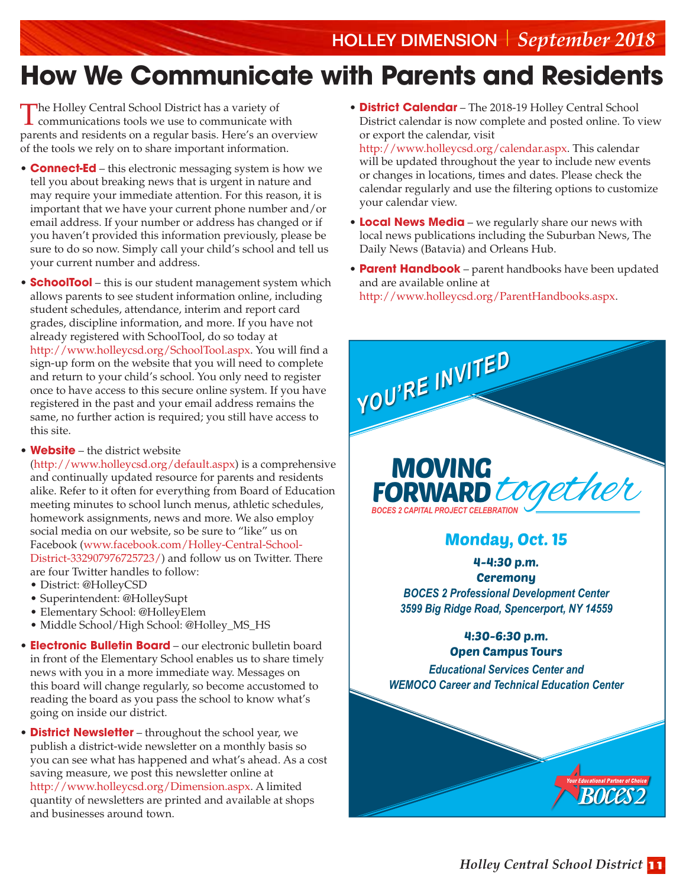# **How We Communicate with Parents and Residents**

The Holley Central School District has a variety of communications tools we use to communicate with parents and residents on a regular basis. Here's an overview of the tools we rely on to share important information.

- **Connect-Ed** this electronic messaging system is how we tell you about breaking news that is urgent in nature and may require your immediate attention. For this reason, it is important that we have your current phone number and/or email address. If your number or address has changed or if you haven't provided this information previously, please be sure to do so now. Simply call your child's school and tell us your current number and address.
- **SchoolTool** this is our student management system which allows parents to see student information online, including student schedules, attendance, interim and report card grades, discipline information, and more. If you have not already registered with SchoolTool, do so today at http://www.holleycsd.org/SchoolTool.aspx. You will find a sign-up form on the website that you will need to complete and return to your child's school. You only need to register once to have access to this secure online system. If you have registered in the past and your email address remains the same, no further action is required; you still have access to this site.
- **Website** the district website

(http://www.holleycsd.org/default.aspx) is a comprehensive and continually updated resource for parents and residents alike. Refer to it often for everything from Board of Education meeting minutes to school lunch menus, athletic schedules, homework assignments, news and more. We also employ social media on our website, so be sure to "like" us on Facebook (www.facebook.com/Holley-Central-School-District-332907976725723/) and follow us on Twitter. There are four Twitter handles to follow:

- District: @HolleyCSD
- Superintendent: @HolleySupt
- Elementary School: @HolleyElem
- Middle School/High School: @Holley\_MS\_HS
- **Electronic Bulletin Board** our electronic bulletin board in front of the Elementary School enables us to share timely news with you in a more immediate way. Messages on this board will change regularly, so become accustomed to reading the board as you pass the school to know what's going on inside our district.
- **District Newsletter** throughout the school year, we publish a district-wide newsletter on a monthly basis so you can see what has happened and what's ahead. As a cost saving measure, we post this newsletter online at http://www.holleycsd.org/Dimension.aspx. A limited quantity of newsletters are printed and available at shops and businesses around town.
- **District Calendar** The 2018-19 Holley Central School District calendar is now complete and posted online. To view or export the calendar, visit http://www.holleycsd.org/calendar.aspx. This calendar will be updated throughout the year to include new events or changes in locations, times and dates. Please check the calendar regularly and use the filtering options to customize your calendar view.
- **Local News Media** we regularly share our news with local news publications including the Suburban News, The Daily News (Batavia) and Orleans Hub.
- **Parent Handbook** parent handbooks have been updated and are available online at http://www.holleycsd.org/ParentHandbooks.aspx.